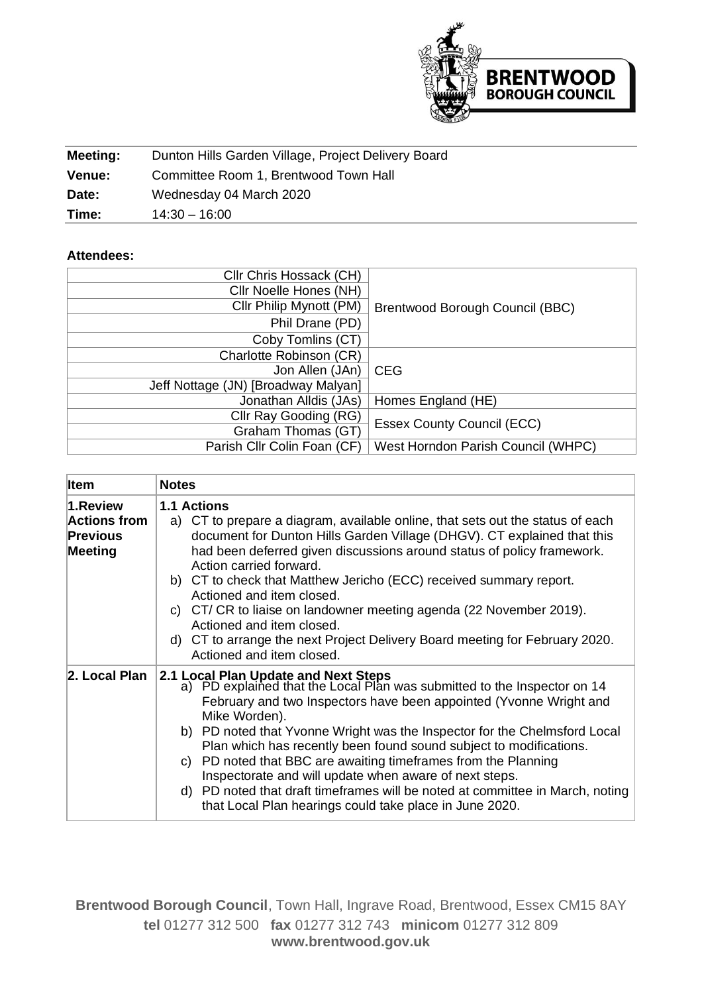

| Meeting:      | Dunton Hills Garden Village, Project Delivery Board |
|---------------|-----------------------------------------------------|
| <b>Venue:</b> | Committee Room 1, Brentwood Town Hall               |
| Date:         | Wednesday 04 March 2020                             |
| Time:         | $14:30 - 16:00$                                     |

## **Attendees:**

| Cllr Chris Hossack (CH)             |                                    |  |
|-------------------------------------|------------------------------------|--|
| Cllr Noelle Hones (NH)              |                                    |  |
| Cllr Philip Mynott (PM)             | Brentwood Borough Council (BBC)    |  |
| Phil Drane (PD)                     |                                    |  |
| Coby Tomlins (CT)                   |                                    |  |
| Charlotte Robinson (CR)             |                                    |  |
| Jon Allen (JAn)                     | <b>CEG</b>                         |  |
| Jeff Nottage (JN) [Broadway Malyan] |                                    |  |
| Jonathan Alldis (JAs)               | Homes England (HE)                 |  |
| Cllr Ray Gooding (RG)               | <b>Essex County Council (ECC)</b>  |  |
| Graham Thomas (GT)                  |                                    |  |
| Parish Cllr Colin Foan (CF)         | West Horndon Parish Council (WHPC) |  |

| <b>Item</b>                                                          | <b>Notes</b>                                                                                                                                                                                                                                                                                                                                                                                                                                                                                                                                                                                                                       |
|----------------------------------------------------------------------|------------------------------------------------------------------------------------------------------------------------------------------------------------------------------------------------------------------------------------------------------------------------------------------------------------------------------------------------------------------------------------------------------------------------------------------------------------------------------------------------------------------------------------------------------------------------------------------------------------------------------------|
| 1.Review<br><b>Actions from</b><br><b>Previous</b><br><b>Meeting</b> | <b>1.1 Actions</b><br>a) CT to prepare a diagram, available online, that sets out the status of each<br>document for Dunton Hills Garden Village (DHGV). CT explained that this<br>had been deferred given discussions around status of policy framework.<br>Action carried forward.<br>b) CT to check that Matthew Jericho (ECC) received summary report.<br>Actioned and item closed.<br>c) CT/CR to liaise on landowner meeting agenda (22 November 2019).<br>Actioned and item closed.<br>d) CT to arrange the next Project Delivery Board meeting for February 2020.<br>Actioned and item closed.                             |
| 2. Local Plan                                                        | 2.1 Local Plan Update and Next Steps<br>a) PD explained that the Local Plan was submitted to the Inspector on 14<br>February and two Inspectors have been appointed (Yvonne Wright and<br>Mike Worden).<br>b) PD noted that Yvonne Wright was the Inspector for the Chelmsford Local<br>Plan which has recently been found sound subject to modifications.<br>c) PD noted that BBC are awaiting timeframes from the Planning<br>Inspectorate and will update when aware of next steps.<br>d) PD noted that draft timeframes will be noted at committee in March, noting<br>that Local Plan hearings could take place in June 2020. |

**Brentwood Borough Council**, Town Hall, Ingrave Road, Brentwood, Essex CM15 8AY **tel** 01277 312 500 **fax** 01277 312 743 **minicom** 01277 312 809 **www.brentwood.gov.uk**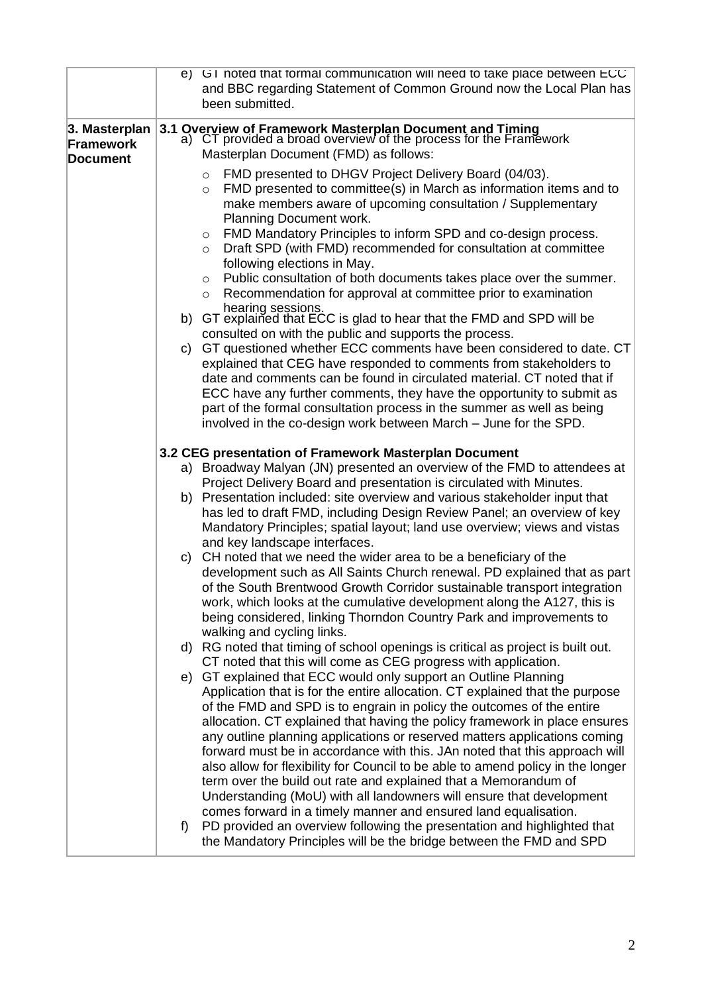| e) G I noted that formal communication will need to take place between ECC<br>and BBC regarding Statement of Common Ground now the Local Plan has<br>been submitted.                                                                                                                                                                                                                                                                                                                                                                                                                                                                                                                                                                                                                                                                                                                                                                                                                                                                                                            |
|---------------------------------------------------------------------------------------------------------------------------------------------------------------------------------------------------------------------------------------------------------------------------------------------------------------------------------------------------------------------------------------------------------------------------------------------------------------------------------------------------------------------------------------------------------------------------------------------------------------------------------------------------------------------------------------------------------------------------------------------------------------------------------------------------------------------------------------------------------------------------------------------------------------------------------------------------------------------------------------------------------------------------------------------------------------------------------|
| 3.1 Overview of Framework Masterplan Document and Timing<br>a) CT provided a broad overview of the process for the Framework<br>3. Masterplan<br>Masterplan Document (FMD) as follows:<br>FMD presented to DHGV Project Delivery Board (04/03).<br>$\circ$<br>FMD presented to committee(s) in March as information items and to<br>$\circ$                                                                                                                                                                                                                                                                                                                                                                                                                                                                                                                                                                                                                                                                                                                                     |
| make members aware of upcoming consultation / Supplementary<br>Planning Document work.<br>FMD Mandatory Principles to inform SPD and co-design process.<br>$\circ$<br>Draft SPD (with FMD) recommended for consultation at committee<br>$\circ$<br>following elections in May.<br>Public consultation of both documents takes place over the summer.<br>$\circ$<br>Recommendation for approval at committee prior to examination<br>$\circ$<br>hearing sessions.                                                                                                                                                                                                                                                                                                                                                                                                                                                                                                                                                                                                                |
| b) GT explained that ECC is glad to hear that the FMD and SPD will be<br>consulted on with the public and supports the process.<br>GT questioned whether ECC comments have been considered to date. CT<br>C)<br>explained that CEG have responded to comments from stakeholders to<br>date and comments can be found in circulated material. CT noted that if<br>ECC have any further comments, they have the opportunity to submit as<br>part of the formal consultation process in the summer as well as being<br>involved in the co-design work between March - June for the SPD.                                                                                                                                                                                                                                                                                                                                                                                                                                                                                            |
| 3.2 CEG presentation of Framework Masterplan Document                                                                                                                                                                                                                                                                                                                                                                                                                                                                                                                                                                                                                                                                                                                                                                                                                                                                                                                                                                                                                           |
| a) Broadway Malyan (JN) presented an overview of the FMD to attendees at<br>Project Delivery Board and presentation is circulated with Minutes.<br>b) Presentation included: site overview and various stakeholder input that<br>has led to draft FMD, including Design Review Panel; an overview of key<br>Mandatory Principles; spatial layout; land use overview; views and vistas<br>and key landscape interfaces.                                                                                                                                                                                                                                                                                                                                                                                                                                                                                                                                                                                                                                                          |
| c) CH noted that we need the wider area to be a beneficiary of the<br>development such as All Saints Church renewal. PD explained that as part<br>of the South Brentwood Growth Corridor sustainable transport integration<br>work, which looks at the cumulative development along the A127, this is<br>being considered, linking Thorndon Country Park and improvements to<br>walking and cycling links.                                                                                                                                                                                                                                                                                                                                                                                                                                                                                                                                                                                                                                                                      |
| d) RG noted that timing of school openings is critical as project is built out.<br>CT noted that this will come as CEG progress with application.<br>e) GT explained that ECC would only support an Outline Planning<br>Application that is for the entire allocation. CT explained that the purpose<br>of the FMD and SPD is to engrain in policy the outcomes of the entire<br>allocation. CT explained that having the policy framework in place ensures<br>any outline planning applications or reserved matters applications coming<br>forward must be in accordance with this. JAn noted that this approach will<br>also allow for flexibility for Council to be able to amend policy in the longer<br>term over the build out rate and explained that a Memorandum of<br>Understanding (MoU) with all landowners will ensure that development<br>comes forward in a timely manner and ensured land equalisation.<br>PD provided an overview following the presentation and highlighted that<br>f)<br>the Mandatory Principles will be the bridge between the FMD and SPD |
|                                                                                                                                                                                                                                                                                                                                                                                                                                                                                                                                                                                                                                                                                                                                                                                                                                                                                                                                                                                                                                                                                 |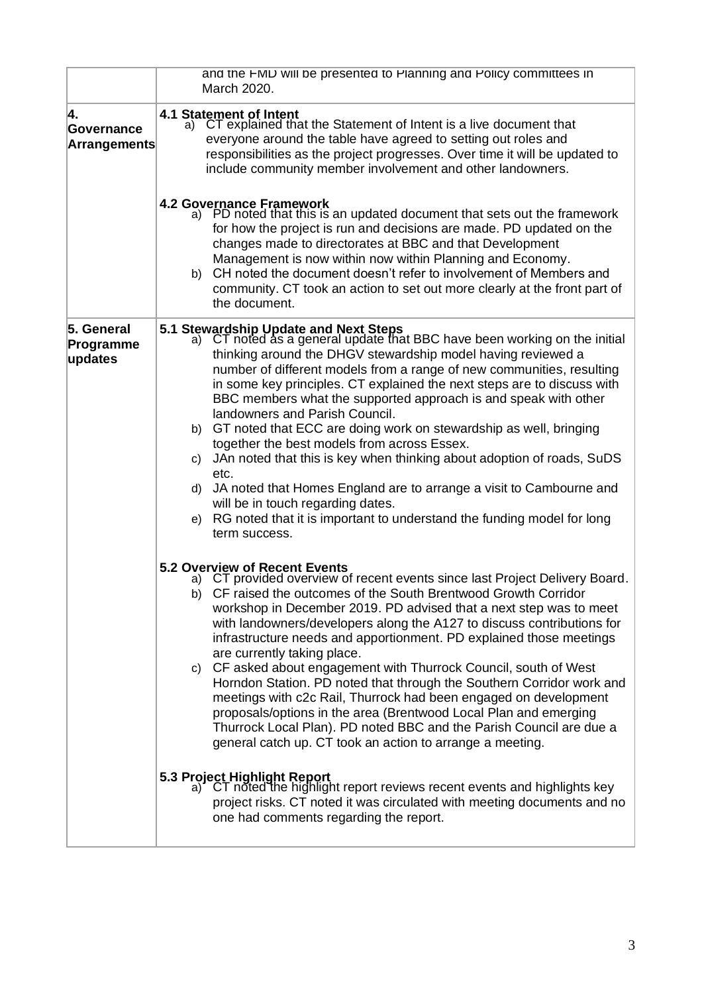|                                         | and the FMD will be presented to Planning and Policy committees in<br>March 2020.                                                                                                                                                                                                                                                                                                                                                                                                                                                                                                                                                                                                                                                                                                                                                                                                                                                                                                                                                                                                                  |  |
|-----------------------------------------|----------------------------------------------------------------------------------------------------------------------------------------------------------------------------------------------------------------------------------------------------------------------------------------------------------------------------------------------------------------------------------------------------------------------------------------------------------------------------------------------------------------------------------------------------------------------------------------------------------------------------------------------------------------------------------------------------------------------------------------------------------------------------------------------------------------------------------------------------------------------------------------------------------------------------------------------------------------------------------------------------------------------------------------------------------------------------------------------------|--|
| 4.<br>Governance<br><b>Arrangements</b> | 4.1 Statement of Intent<br>CT explained that the Statement of Intent is a live document that<br>a)<br>everyone around the table have agreed to setting out roles and<br>responsibilities as the project progresses. Over time it will be updated to<br>include community member involvement and other landowners.                                                                                                                                                                                                                                                                                                                                                                                                                                                                                                                                                                                                                                                                                                                                                                                  |  |
|                                         | <b>4.2 Governance Framework</b><br>PD noted that this is an updated document that sets out the framework<br>a).<br>for how the project is run and decisions are made. PD updated on the<br>changes made to directorates at BBC and that Development<br>Management is now within now within Planning and Economy.<br>CH noted the document doesn't refer to involvement of Members and<br>b)<br>community. CT took an action to set out more clearly at the front part of<br>the document.                                                                                                                                                                                                                                                                                                                                                                                                                                                                                                                                                                                                          |  |
| 5. General<br>Programme<br>updates      | 5.1 Stewardship Update and Next Steps<br>a) CT noted as a general update that BBC have been working on the initial<br>thinking around the DHGV stewardship model having reviewed a<br>number of different models from a range of new communities, resulting<br>in some key principles. CT explained the next steps are to discuss with<br>BBC members what the supported approach is and speak with other<br>landowners and Parish Council.<br>GT noted that ECC are doing work on stewardship as well, bringing<br>b)<br>together the best models from across Essex.<br>JAn noted that this is key when thinking about adoption of roads, SuDS<br>C)<br>etc.<br>JA noted that Homes England are to arrange a visit to Cambourne and<br>d)<br>will be in touch regarding dates.<br>RG noted that it is important to understand the funding model for long<br>e)<br>term success.                                                                                                                                                                                                                   |  |
|                                         | 5.2 Overview of Recent Events<br>a) CT provided overview of recent events since last Project Delivery Board.<br>b) CF raised the outcomes of the South Brentwood Growth Corridor<br>workshop in December 2019. PD advised that a next step was to meet<br>with landowners/developers along the A127 to discuss contributions for<br>infrastructure needs and apportionment. PD explained those meetings<br>are currently taking place.<br>c) CF asked about engagement with Thurrock Council, south of West<br>Horndon Station. PD noted that through the Southern Corridor work and<br>meetings with c2c Rail, Thurrock had been engaged on development<br>proposals/options in the area (Brentwood Local Plan and emerging<br>Thurrock Local Plan). PD noted BBC and the Parish Council are due a<br>general catch up. CT took an action to arrange a meeting.<br>5.3 Project Highlight Report<br>a) CT noted the highlight report reviews recent events and highlights key<br>project risks. CT noted it was circulated with meeting documents and no<br>one had comments regarding the report. |  |